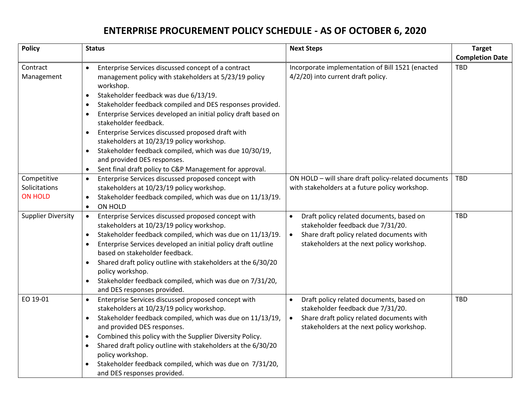## **ENTERPRISE PROCUREMENT POLICY SCHEDULE - AS OF OCTOBER 6, 2020**

| <b>Policy</b>             | <b>Status</b>                                                                                        | <b>Next Steps</b>                                      | <b>Target</b>          |
|---------------------------|------------------------------------------------------------------------------------------------------|--------------------------------------------------------|------------------------|
|                           |                                                                                                      |                                                        | <b>Completion Date</b> |
| Contract                  | Enterprise Services discussed concept of a contract<br>$\bullet$                                     | Incorporate implementation of Bill 1521 (enacted       | <b>TBD</b>             |
| Management                | management policy with stakeholders at 5/23/19 policy<br>workshop.                                   | 4/2/20) into current draft policy.                     |                        |
|                           |                                                                                                      |                                                        |                        |
|                           | Stakeholder feedback was due 6/13/19.<br>٠                                                           |                                                        |                        |
|                           | Stakeholder feedback compiled and DES responses provided.<br>$\bullet$                               |                                                        |                        |
|                           | Enterprise Services developed an initial policy draft based on<br>$\bullet$<br>stakeholder feedback. |                                                        |                        |
|                           | Enterprise Services discussed proposed draft with<br>٠                                               |                                                        |                        |
|                           | stakeholders at 10/23/19 policy workshop.                                                            |                                                        |                        |
|                           | Stakeholder feedback compiled, which was due 10/30/19,<br>$\bullet$                                  |                                                        |                        |
|                           | and provided DES responses.                                                                          |                                                        |                        |
|                           | Sent final draft policy to C&P Management for approval.<br>$\bullet$                                 |                                                        |                        |
| Competitive               | Enterprise Services discussed proposed concept with<br>$\bullet$                                     | ON HOLD - will share draft policy-related documents    | <b>TBD</b>             |
| Solicitations             | stakeholders at 10/23/19 policy workshop.                                                            | with stakeholders at a future policy workshop.         |                        |
| <b>ON HOLD</b>            | Stakeholder feedback compiled, which was due on 11/13/19.<br>$\bullet$                               |                                                        |                        |
|                           | <b>ON HOLD</b><br>$\bullet$                                                                          |                                                        |                        |
| <b>Supplier Diversity</b> | Enterprise Services discussed proposed concept with<br>$\bullet$                                     | Draft policy related documents, based on<br>$\bullet$  | <b>TBD</b>             |
|                           | stakeholders at 10/23/19 policy workshop.                                                            | stakeholder feedback due 7/31/20.                      |                        |
|                           | Stakeholder feedback compiled, which was due on 11/13/19.<br>$\bullet$                               | Share draft policy related documents with<br>$\bullet$ |                        |
|                           | Enterprise Services developed an initial policy draft outline<br>$\bullet$                           | stakeholders at the next policy workshop.              |                        |
|                           | based on stakeholder feedback.                                                                       |                                                        |                        |
|                           | Shared draft policy outline with stakeholders at the 6/30/20<br>$\bullet$                            |                                                        |                        |
|                           | policy workshop.                                                                                     |                                                        |                        |
|                           | Stakeholder feedback compiled, which was due on 7/31/20,<br>$\bullet$                                |                                                        |                        |
|                           | and DES responses provided.                                                                          |                                                        |                        |
| EO 19-01                  | Enterprise Services discussed proposed concept with<br>$\bullet$                                     | Draft policy related documents, based on               | <b>TBD</b>             |
|                           | stakeholders at 10/23/19 policy workshop.                                                            | stakeholder feedback due 7/31/20.                      |                        |
|                           | Stakeholder feedback compiled, which was due on 11/13/19,<br>$\bullet$                               | Share draft policy related documents with<br>$\bullet$ |                        |
|                           | and provided DES responses.                                                                          | stakeholders at the next policy workshop.              |                        |
|                           | Combined this policy with the Supplier Diversity Policy.<br>$\bullet$                                |                                                        |                        |
|                           | Shared draft policy outline with stakeholders at the 6/30/20<br>$\bullet$                            |                                                        |                        |
|                           | policy workshop.                                                                                     |                                                        |                        |
|                           | Stakeholder feedback compiled, which was due on 7/31/20,                                             |                                                        |                        |
|                           | and DES responses provided.                                                                          |                                                        |                        |